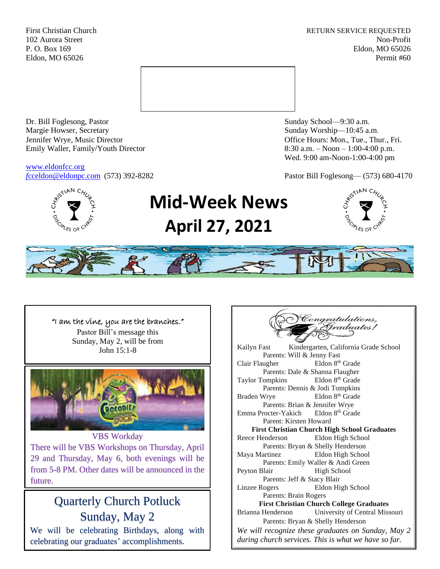First Christian Church **RETURN SERVICE REQUESTED** 102 Aurora Street Non-Profit P. O. Box 169 Eldon, MO 65026 Eldon, MO 65026 Permit #60



Dr. Bill Foglesong, Pastor Sunday School—9:30 a.m. Margie Howser, Secretary Sunday Worship—10:45 a.m. Jennifer Wrye, Music Director Office Hours: Mon., Tue., Thur., Fri. Emily Waller, Family/Youth Director 8:30 a.m. – Noon – 1:00-4:00 p.m.

[www.eldonfcc.org](http://www.eldonfcc.org/)

Wed. 9:00 am-Noon-1:00-4:00 pm

*f*[cceldon@eldonpc.com](mailto:fcceldon@eldonpc.com) (573) 392-8282 Pastor Bill Foglesong— (573) 680-4170



# **Mid-Week News April 27, 2021**